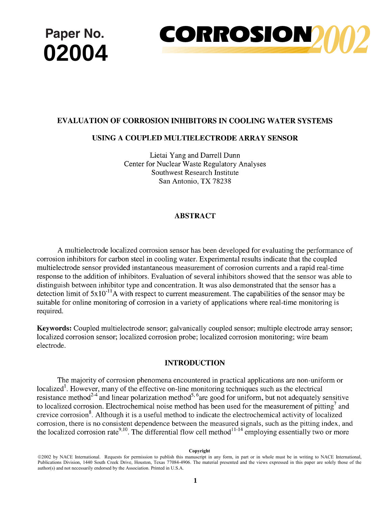

# **EVALUATION OF CORROSION INHIBITORS IN COOLING WATER SYSTEMS**

# **USING A COUPLED MULTIELECTRODE ARRAY SENSOR**

Lietai Yang and Darrell Dunn Center for Nuclear Waste Regulatory Analyses Southwest Research Institute San Antonio, TX 78238

# ABSTRACT

A multielectrode localized corrosion sensor has been developed for evaluating the performance of corrosion inhibitors for carbon steel in cooling water. Experimental results indicate that the coupled multielectrode sensor provided instantaneous measurement of corrosion currents and a rapid real-time response to the addition of inhibitors. Evaluation of several inhibitors showed that the sensor was able to distinguish between inhibitor type and concentration. It was also demonstrated that the sensor has a detection limit of  $5x10^{-11}$ A with respect to current measurement. The capabilities of the sensor may be suitable for online monitoring of corrosion in a variety of applications where real-time monitoring is required.

Keywords: Coupled multielectrode sensor; galvanically coupled sensor; multiple electrode array sensor; localized corrosion sensor; localized corrosion probe; localized corrosion monitoring; wire beam electrode.

# **INTRODUCTION**

The majority of corrosion phenomena encountered in practical applications are non-uniform or localized<sup>1</sup>. However, many of the effective on-line monitoring techniques such as the electrical resistance method $2^{-4}$  and linear polarization method<sup>5, 6</sup>are good for uniform, but not adequately sensitive to localized corrosion. Electrochemical noise method has been used for the measurement of pitting<sup>7</sup> and crevice corrosion<sup>8</sup>. Although it is a useful method to indicate the electrochemical activity of localized corrosion, there is no consistent dependence between the measured signals, such as the pitting index, and the localized corrosion rate<sup>9,10</sup>. The differential flow cell method  $11-14$  employing essentially two or more

#### **Copyright**

<sup>©2002</sup> by NACE International. Requests for permission to publish this manuscript in any form, in part or in whole must be in writing to NACE International, Publications Division, 1440 South Creek Drive, Houston, Texas 77084-4906. The material presented and the views expressed in this paper are solely those of the author(s) and not necessarily endorsed by the Association. Printed in U.S.A.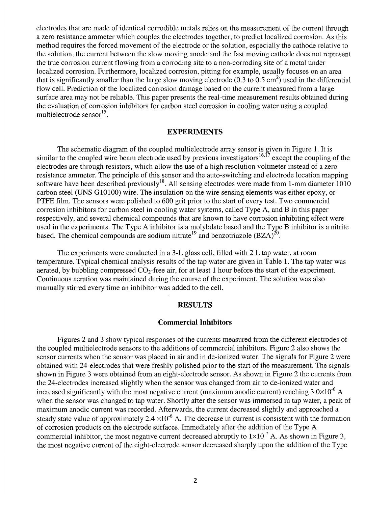electrodes that are made of identical corrodible metals relies on the measurement of the current through a zero resistance ammeter which couples the electrodes together, to predict localized corrosion. As this method requires the forced movement of the electrode or the solution, especially the cathode relative to the solution, the current between the slow moving anode and the fast moving cathode does not represent the true corrosion current flowing from a corroding site to a non-corroding site of a metal under localized corrosion. Furthermore, localized corrosion, pitting for example, usually focuses on an area that is significantly smaller than the large slow moving electrode (0.3 to 0.5 cm<sup>2</sup>) used in the differential flow cell. Prediction of the localized corrosion damage based on the current measured from a large surface area may not be reliable. This paper presents the real-time measurement results obtained during the evaluation of corrosion inhibitors for carbon steel corrosion in cooling water using a coupled multielectrode sensor $^{15}$ .

#### **EXPERIMENTS**

The schematic diagram of the coupled multielectrode array sensor is given in Figure 1. It is similar to the coupled wire beam electrode used by previous investigators  $16,17$  except the coupling of the electrodes are through resistors, which allow the use of a high resolution voltmeter instead of a zero resistance ammeter. The principle of this sensor and the auto-switching and electrode location mapping software have been described previously<sup>18</sup>. All sensing electrodes were made from 1-mm diameter 1010 carbon steel (UNS G10100) wire. The insulation on the wire sensing elements was either epoxy, or PTFE film. The sensors were polished to 600 grit prior to the start of every test. Two commercial corrosion inhibitors for carbon steel in cooling water systems, called Type A, and B in this paper respectively, and several chemical compounds that are known to have corrosion inhibiting effect were used in the experiments. The Type A inhibitor is a molybdate based and the Type B inhibitor is a nitrite based. The chemical compounds are sodium nitrate<sup>19</sup> and benzotriazole  $(BZA)^{20}$ .

The experiments were conducted in a 3-L glass cell, filled with 2 L tap water, at room temperature. Typical chemical analysis results of the tap water are given in Table 1. The tap water was aerated, by bubbling compressed  $CO<sub>2</sub>$ -free air, for at least 1 hour before the start of the experiment. Continuous aeration was maintained during the course of the experiment. The solution was also manually stirred every time an inhibitor was added to the cell.

## **RESULTS**

#### **Commercial Inhibitors**

Figures 2 and 3 show typical responses of the currents measured from the different electrodes of the coupled multielectrode sensors to the additions of commercial inhibitors. Figure 2 also shows the sensor currents when the sensor was placed in air and in de-ionized water. The signals for Figure 2 were obtained with 24-electrodes that were freshly polished prior to the start of the measurement. The signals shown in Figure 3 were obtained from an eight-electrode sensor. As shown in Figure 2 the currents from the 24-electrodes increased slightly when the sensor was changed from air to de-ionized water and increased significantly with the most negative current (maximum anodic current) reaching  $3.0\times10^{-6}$  A when the sensor was changed to tap water. Shortly after the sensor was immersed in tap water, a peak of maximum anodic current was recorded. Afterwards, the current decreased slightly and approached a steady state value of approximately  $2.4 \times 10^{-6}$  A. The decrease in current is consistent with the formation of corrosion products on the electrode surfaces. Immediately after the addition of the Type A commercial inhibitor, the most negative current decreased abruptly to  $1 \times 10^{-7}$  A. As shown in Figure 3, the most negative current of the eight-electrode sensor decreased sharply upon the addition of the Type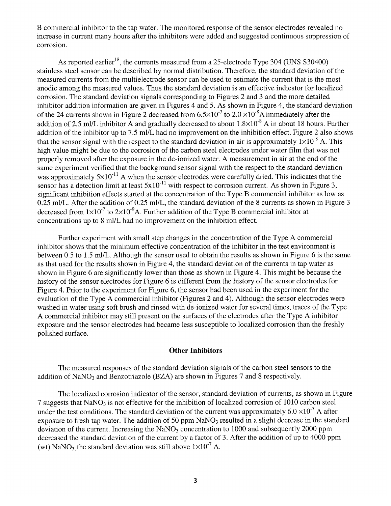B commercial inhibitor to the tap water. The monitored response of the sensor electrodes revealed no increase in current many hours after the inhibitors were added and suggested continuous suppression of corrosion.

As reported earlier<sup>18</sup>, the currents measured from a 25-electrode Type 304 (UNS  $\frac{\text{30400}}{\text{m}}$ ) stainless steel sensor can be described by normal distribution. Therefore, the standard deviation of the measured currents from the multielectrode sensor can be used to estimate the current that is the most anodic among the measured values. Thus the standard deviation is an effective indicator for localized corrosion. The standard deviation signals corresponding to Figures 2 and 3 and the more detailed inhibitor addition information are given in Figures 4 and 5. As shown in Figure 4, the standard deviation of the 24 currents shown in Figure 2 decreased from  $6.5 \times 10^{-7}$  to  $2.0 \times 10^{-8}$ A immediately after the addition of 2.5 ml/L inhibitor A and gradually decreased to about  $1.8 \times 10^{-8}$  A in about 18 hours. Further addition of the inhibitor up to 7.5 ml/L had no improvement on the inhibition effect. Figure 2 also shows that the sensor signal with the respect to the standard deviation in air is approximately  $1\times10^{-8}$  A. This high value might be due to the corrosion of the carbon steel electrodes under water film that was not properly removed after the exposure in the de-ionized water. A measurement in air at the end of the same experiment verified that the background sensor signal with the respect to the standard deviation was approximately  $5\times10^{-11}$  A when the sensor electrodes were carefully dried. This indicates that the sensor has a detection limit at least  $5x10^{-11}$  with respect to corrosion current. As shown in Figure 3, significant inhibition effects started at the concentration of the Type B commercial inhibitor as low as 0.25 ml/L. After the addition of 0.25 ml/L, the standard deviation of the 8 currents as shown in Figure 3 decreased from  $1\times10^{-7}$  to  $2\times10^{-9}$  A. Further addition of the Type B commercial inhibitor at concentrations up to 8 ml/L had no improvement on the inhibition effect.

Further experiment with small step changes in the concentration of the Type A commercial inhibitor shows that the minimum effective concentration of the inhibitor in the test environment is between 0.5 to 1.5 ml/L. Although the sensor used to obtain the results as shown in Figure 6 is the same as that used for the results shown in Figure 4, the standard deviation of the currents in tap water as shown in Figure 6 are significantly lower than those as shown in Figure 4. This might be because the history of the sensor electrodes for Figure 6 is different from the history of the sensor electrodes for Figure 4. Prior to the experiment for Figure 6, the sensor had been used in the experiment for the evaluation of the Type A commercial inhibitor (Figures 2 and 4). Although the sensor electrodes were washed in water using soft brush and rinsed with de-ionized water for several times, traces of the Type A commercial inhibitor may still present on the surfaces of the electrodes after the Type A inhibitor exposure and the sensor electrodes had became less susceptible to localized corrosion than the freshly polished surface.

## **Other Inhibitors**

The measured responses of the standard deviation signals of the carbon steel sensors to the addition of  $\text{NaNO}_3$  and Benzotriazole (BZA) are shown in Figures 7 and 8 respectively.

The localized corrosion indicator of the sensor, standard deviation of currents, as shown in Figure 7 suggests that  $NaNO<sub>3</sub>$  is not effective for the inhibition of localized corrosion of 1010 carbon steel under the test conditions. The standard deviation of the current was approximately  $6.0 \times 10^{-7}$  A after exposure to fresh tap water. The addition of 50 ppm  $NaNO<sub>3</sub>$  resulted in a slight decrease in the standard deviation of the current. Increasing the  $NaNO<sub>3</sub>$  concentration to 1000 and subsequently 2000 ppm decreased the standard deviation of the current by a factor of 3. After the addition of up to 4000 ppm (wt) NaNO<sub>3</sub> the standard deviation was still above  $1\times10^{-7}$  A.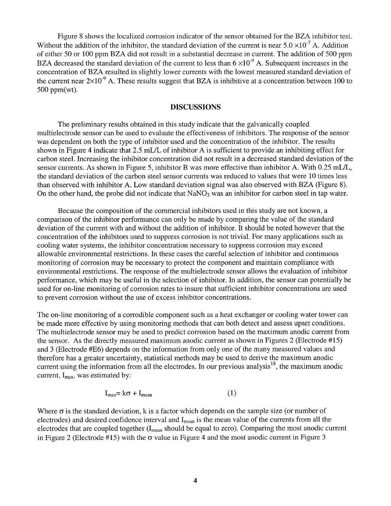Figure 8 shows the localized corrosion indicator of the sensor obtained for the BZA inhibitor test. Without the addition of the inhibitor, the standard deviation of the current is near  $5.0 \times 10^{-7}$  A. Addition of either 50 or 100 ppm BZA did not result in a substantial decrease in current. The addition of 500 ppm BZA decreased the standard deviation of the current to less than  $6 \times 10^{-9}$  A. Subsequent increases in the concentration of BZA resulted in slightly lower currents with the lowest measured standard deviation of the current near  $2\times10^{-9}$  A. These results suggest that BZA is inhibitive at a concentration between 100 to 500 ppm(wt).

#### **DISCUSSIONS**

The preliminary results obtained in this study indicate that the galvanically coupled multielectrode sensor can be used to evaluate the effectiveness of inhibitors. The response of the sensor was dependent on both the type of inhibitor used and the concentration of the inhibitor. The results shown in Figure 4 indicate that 2.5 mL/L of inhibitor A is sufficient to provide an inhibiting effect for carbon steel. Increasing the inhibitor concentration did not result in a decreased standard deviation of the sensor currents. As shown in Figure 5, inhibitor B was more effective than inhibitor A. With 0.25 mL/L, the standard deviation of the carbon steel sensor currents was reduced to values that were 10 times less than observed with inhibitor A. Low standard deviation signal was also observed with BZA (Figure 8). On the other hand, the probe did not indicate that  $NaNO<sub>3</sub>$  was an inhibitor for carbon steel in tap water.

Because the composition of the commercial inhibitors used in this study are not known, a comparison of the inhibitor performance can only be made by comparing the value of the standard deviation of the current with and without the addition of inhibitor. It should be noted however that the concentration of the inhibitors used to suppress corrosion is not trivial. For many applications such as cooling water systems, the inhibitor concentration necessary to suppress corrosion may exceed allowable environmental restrictions. In these cases the careful selection of inhibitor and continuous monitoring of corrosion may be necessary to protect the component and maintain compliance with environmental restrictions. The response of the multielectrode sensor allows the evaluation of inhibitor performance, which may be useful in the selection of inhibitor. In addition, the sensor can potentially be used for on-line monitoring of corrosion rates to insure that sufficient inhibitor concentrations are used to prevent corrosion without the use of excess inhibitor concentrations.

The on-line monitoring of a corrodible component such as a heat exchanger or cooling water tower can be made more effective by using monitoring methods that can both detect and assess upset conditions. The multielectrode sensor may be used to predict corrosion based on the maximum anodic current from the sensor. As the directly measured maximum anodic current as shown in Figures 2 (Electrode #15) and 3 (Electrode #E6) depends on the information from only one of the many measured values and therefore has a greater uncertainty, statistical methods may be used to derive the maximum anodic current using the information from all the electrodes. In our previous analysis<sup>18</sup>, the maximum anodic current,  $I_{\text{max}}$ , was estimated by:

$$
I_{\text{max}} = k\sigma + I_{\text{mean}} \tag{1}
$$

Where  $\sigma$  is the standard deviation, k is a factor which depends on the sample size (or number of electrodes) and desired confidence interval and  $I_{mean}$  is the mean value of the currents from all the electrodes that are coupled together (I<sub>mean</sub> should be equal to zero). Comparing the most anodic current in Figure 2 (Electrode #15) with the  $\sigma$  value in Figure 4 and the most anodic current in Figure 3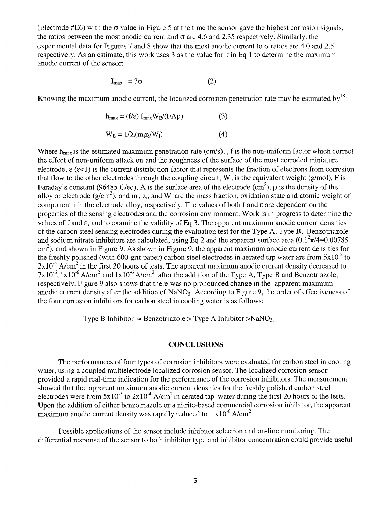(Electrode #E6) with the  $\sigma$  value in Figure 5 at the time the sensor gave the highest corrosion signals, the ratios between the most anodic current and  $\sigma$  are 4.6 and 2.35 respectively. Similarly, the experimental data for Figures 7 and 8 show that the most anodic current to  $\sigma$  ratios are 4.0 and 2.5 respectively. As an estimate, this work uses 3 as the value for k in Eq 1 to determine the maximum anodic current of the sensor:

$$
I_{\text{max}} = 3\sigma \tag{2}
$$

Knowing the maximum anodic current, the localized corrosion penetration rate may be estimated by<sup>18</sup>:

$$
h_{\text{max}} = (f/\epsilon) I_{\text{max}} W_{E} / (FA\rho)
$$
 (3)  

$$
W_{E} = 1/\sum (m_{i}z_{i}/W_{i})
$$
 (4)

Where  $h_{max}$  is the estimated maximum penetration rate (cm/s), f is the non-uniform factor which correct the effect of non-uniform attack on and the roughness of the surface of the most corroded miniature electrode,  $\epsilon$  ( $\epsilon$ <1) is the current distribution factor that represents the fraction of electrons from corrosion that flow to the other electrodes through the coupling circuit,  $W_E$  is the equivalent weight (g/mol), F is Faraday's constant (96485 C/eq), A is the surface area of the electrode  $(cm<sup>2</sup>)$ ,  $\rho$  is the density of the alloy or electrode (g/cm<sup>3</sup>), and m<sub>i</sub>, z<sub>i</sub>, and W<sub>i</sub> are the mass fraction, oxidation state and atomic weight of component i in the electrode alloy, respectively. The values of both f and  $\epsilon$  are dependent on the properties of the sensing electrodes and the corrosion environment. Work is in progress to determine the values of f and  $\varepsilon$ , and to examine the validity of Eq 3. The apparent maximum anodic current densities of the carbon steel sensing electrodes during the evaluation test for the Type A, Type B, Benzotriazole and sodium nitrate inhibitors are calculated, using Eq 2 and the apparent surface area  $(0.1^2\pi/4=0.00785$  $\text{cm}^2$ ), and shown in Figure 9. As shown in Figure 9, the apparent maximum anodic current densities for the freshly polished (with 600-grit paper) carbon steel electrodes in aerated tap water are from  $5x10^{-5}$  to  $2x10^{-4}$  A/cm<sup>2</sup> in the first 20 hours of tests. The apparent maximum anodic current density decreased to  $7x10^{-6}$ ,  $1x10^{-6}$  A/cm<sup>2</sup> and  $1x10^{-6}$  A/cm<sup>2</sup> after the addition of the Type A, Type B and Benzotriazole, respectively. Figure 9 also shows that there was no pronounced change in the apparent maximum anodic current density after the addition of  $NaNO<sub>3</sub>$ . According to Figure 9, the order of effectiveness of the four corrosion inhibitors for carbon steel in cooling water is as follows:

Type B Inhibitor  $\approx$  Benzotriazole > Type A Inhibitor >NaNO<sub>3.</sub>

# **CONCLUSIONS**

The performances of four types of corrosion inhibitors were evaluated for carbon steel in cooling water, using a coupled multielectrode localized corrosion sensor. The localized corrosion sensor provided a rapid real-time indication for the performance of the corrosion inhibitors. The measurement showed that the apparent maximum anodic current densities for the freshly polished carbon steel electrodes were from  $5x10^{-5}$  to  $2x10^{-4}$  A/cm<sup>2</sup> in aerated tap water during the first 20 hours of the tests. Upon the addition of either benzotriazole or a nitrite-based commercial corrosion inhibitor, the apparent maximum anodic current density was rapidly reduced to  $1x10^{-6}$  A/cm<sup>2</sup>.

Possible applications of the sensor include inhibitor selection and on-line monitoring. The differential response of the sensor to both inhibitor type and inhibitor concentration could provide useful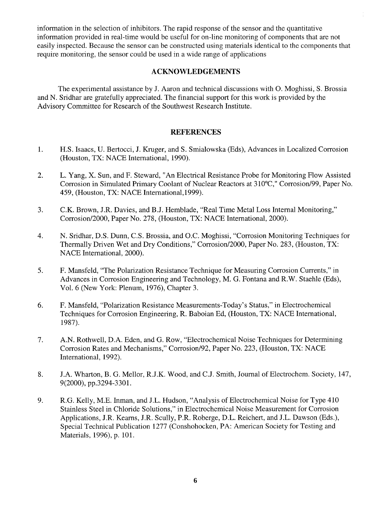information in the selection of inhibitors. The rapid response of the sensor and the quantitative information provided in real-time would be useful for on-line monitoring of components that are not easily inspected. Because the sensor can be constructed using materials identical to the components that require monitoring, the sensor could be used in a wide range of applications

#### **ACKNOWLEDGEMENTS**

The experimental assistance by J. Aaron and technical discussions with O. Moghissi, S. Brossia and N. Sridhar are gratefully appreciated. The financial support for this work is provided by the Advisory Committee for Research of the Southwest Research Institute.

## **REFERENCES**

- ° H.S. Isaacs, U. Bertocci, J. Kruger, and S. Smialowska (Eds), Advances in Localized Corrosion (Houston, TX: NACE International, 1990).
- 2. L. Yang, X. Sun, and F. Steward, "An Electrical Resistance Probe for Monitoring Flow Assisted Corrosion in Simulated Primary Coolant of Nuclear Reactors at 310°C, '' Corrosion/99, Paper No. 459, (Houston, TX: NACE International,1999).
- $3<sub>1</sub>$ C.K. Brown, J.R. Davies, and B.J. Hemblade, "Real Time Metal Loss Internal Monitoring," Corrosion/2000, Paper No. 278, (Houston, TX: NACE International, 2000).
- 4. N. Sridhar, D.S. Dunn, C.S. Brossia, and O.C. Moghissi, "Corrosion Monitoring Techniques for Thermally Driven Wet and Dry Conditions," Corrosion/2000, Paper No. 283, (Houston, TX: NACE International, 2000).
- 5. F. Mansfeld, "The Polarization Resistance Technique for Measuring Corrosion Currents," in Advances in Corrosion Engineering and Technology, M. G. Fontana and R.W. Staehle (Eds), Vol. 6 (New York: Plenum, 1976), Chapter 3.
- 6. F. Mansfeld, "Polarization Resistance Measurements-Today's Status," in Electrochemical Techniques for Corrosion Engineering, R. Baboian Ed, (Houston, TX: NACE International, 1987).
- , A.N. Rothwell, D.A. Eden, and G. Row, "Electrochemical Noise Techniques for Determining Corrosion Rates and Mechanisms," Corrosion/92, Paper No. 223, (Houston, TX: NACE International, 1992).
- 8. J.A. Wharton, B. G. Mellor, R.J.K. Wood, and C.J. Smith, Journal of Electrochem. Society, 147, 9(2000), pp.3294-3301.
- 9. R.G. Kelly, M.E. Inman, and J.L. Hudson, "Analysis of Electrochemical Noise for Type 410 Stainless Steel in Chloride Solutions," in Electrochemical Noise Measurement for Corrosion Applications, J.R. Kearns, J.R. Scully, P.R. Roberge, D.L. Reichert, and J.L. Dawson (Eds.), Special Technical Publication 1277 (Conshohocken, PA: American Society for Testing and Materials, 1996), p. 101.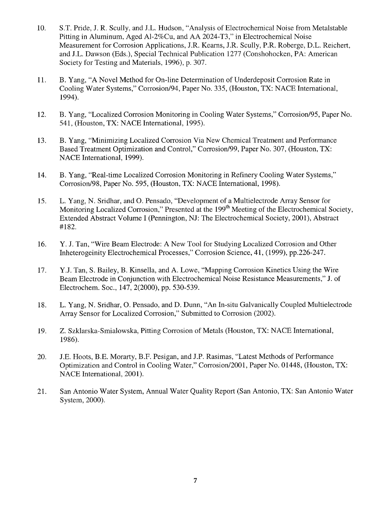- 10. S.T. Pride, J. R. Scully, and J.L. Hudson, "Analysis of Electrochemical Noise from Metalstable Pitting in Aluminum, Aged A1-2%Cu, and AA 2024-T3," in Electrochemical Noise Measurement for Corrosion Applications, J.R. Kearns, J.R. Scully, P.R. Roberge, D.L. Reichert, and J.L. Dawson (Eds.), Special Technical Publication 1277 (Conshohocken, PA: American Society for Testing and Materials, 1996), p. 307.
- 11. B. Yang, "A Novel Method for On-line Determination of Underdeposit Corrosion Rate in Cooling Water Systems," Corrosion/94, Paper No. 335, (Houston, TX: NACE International, 1994).
- 12. B. Yang, "Localized Corrosion Monitoring in Cooling Water Systems," Corrosion/95, Paper No. 541, (Houston, TX: NACE International, 1995).
- 13. B. Yang, "Minimizing Localized Corrosion Via New Chemical Treatment and Performance Based Treatment Optimization and Control," Corrosion/99, Paper No. 307, (Houston, TX: NACE International, 1999).
- 14. B. Yang, "Real-time Localized Corrosion Monitoring in Refinery Cooling Water Systems," Corrosion/98, Paper No. 595, (Houston, TX: NACE International, 1998).
- 15. L. Yang, N. Sridhar, and O. Pensado, "Development of a Multielectrode Array Sensor for Monitoring Localized Corrosion," Presented at the 199<sup>th</sup> Meeting of the Electrochemical Society, Extended Abstract Volume I (Pennington, NJ: The Electrochemical Society, 2001), Abstract #182.
- 16. Y. J. Tan, "Wire Beam Electrode: A New Tool for Studying Localized Corrosion and Other Inheterogeinity Electrochemical Processes," Corrosion Science, 41, (1999), pp.226-247.
- 17. Y.J. Tan, S. Bailey, B. Kinsella, and A. Lowe, "Mapping Corrosion Kinetics Using the Wire Beam Electrode in Conjunction with Electrochemical Noise Resistance Measurements," J. of Electrochem. Soc., 147, 2(2000), pp. 530-539.
- 18. L. Yang, N. Sridhar, O. Pensado, and D. Dunn, "An In-situ Galvanically Coupled Multielectrode Array Sensor for Localized Corrosion," Submitted to Corrosion (2002).
- 19. Z. Szklarska-Smialowska, Pitting Corrosion of Metals (Houston, TX: NACE International, 1986).
- 20. J.E. Hoots, B.E. Morarty, B.F. Pesigan, and J.P. Rasimas, "Latest Methods of Performance Optimization and Control in Cooling Water," Corrosion/2001, Paper No. 01448, (Houston, TX: NACE International, 2001).
- 21. San Antonio Water System, Annual Water Quality Report (San Antonio, TX: San Antonio Water System, 2000).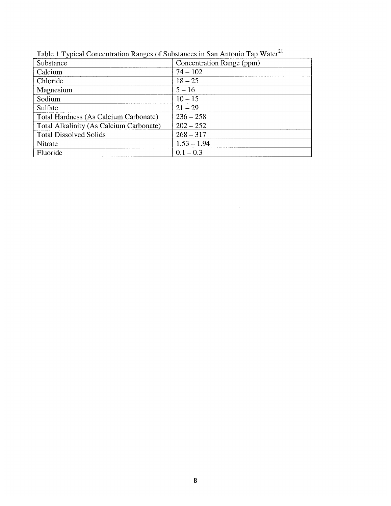| ╯<br>Substance                          | Concentration Range (ppm) |
|-----------------------------------------|---------------------------|
| Calcium                                 | $74 - 102$                |
| Chloride                                | $18 - 25$                 |
| Magnesium                               | $5 - 16$                  |
| Sodium                                  | $10 - 15$                 |
| Sulfate                                 | $21 - 29$                 |
| Total Hardness (As Calcium Carbonate)   | $236 - 258$               |
| Total Alkalinity (As Calcium Carbonate) | $202 - 252$               |
| <b>Total Dissolved Solids</b>           | $268 - 317$               |
| Nitrate                                 | $1.53 - 1.94$             |
| Fluoride                                | $0.1 - 0.3$               |

 $\sim$ 

 $\hat{\mathcal{A}}$ 

Table 1 Typical Concentration Ranges of Substances in San Antonio Tap Water<sup>21</sup>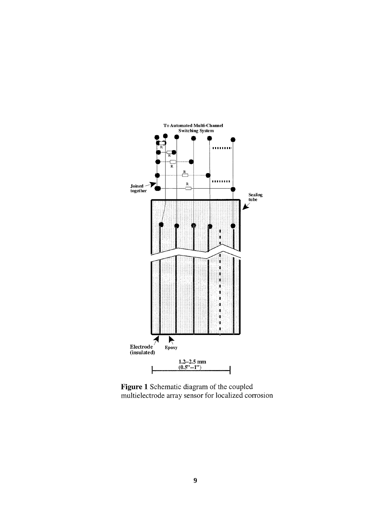

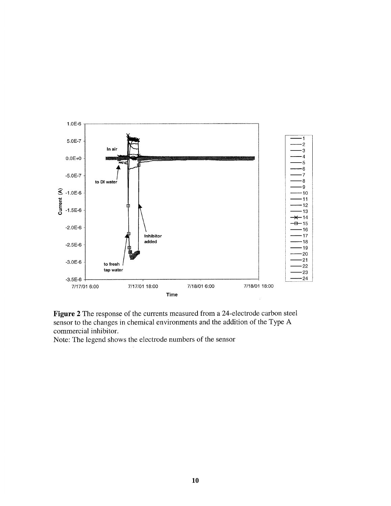

Figure 2 The response of the currents measured from a 24-electrode carbon steel sensor to the changes in chemical environments and the addition of the Type A commercial inhibitor.

Note: The legend shows the electrode numbers of the sensor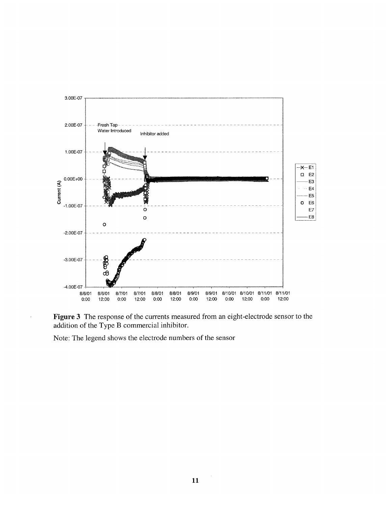

Figure 3 The response of the currents measured from an eight-electrode sensor to the addition of the Type B commercial inhibitor.

Note: The legend shows the electrode numbers of the sensor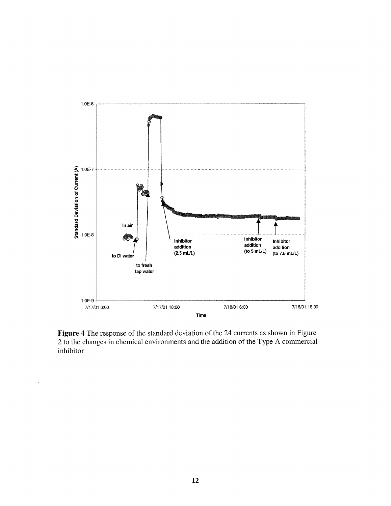

Figure 4 The response of the standard deviation of the 24 currents as shown in Figure 2 to the changes in chemical environments and the addition of the Type A commercial inhibitor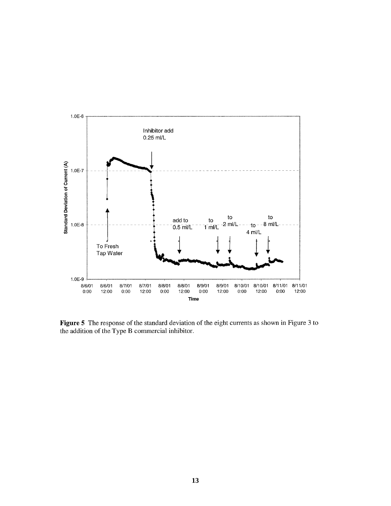

**Figure 5 The response of the standard deviation of the eight currents as shown in Figure 3 to the addition of the Type B commercial inhibitor.**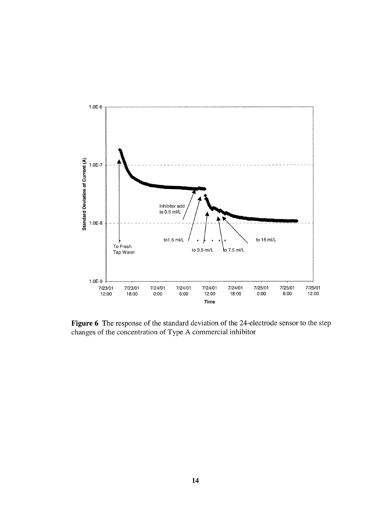

Figure 6 The response of the standard deviation of the 24-electrode sensor to the step changes of the concentration of Type A commercial inhibitor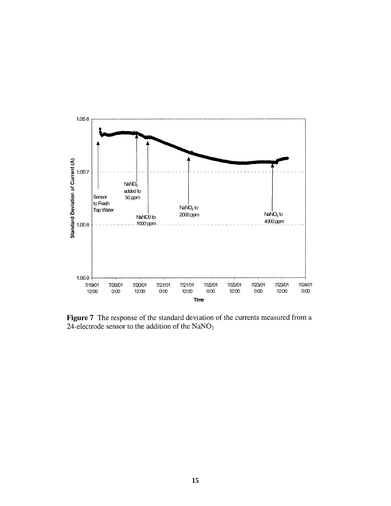

Figure 7 The response of the standard deviation of the currents measured from a 24-electrode sensor to the addition of the  $NaNO<sub>3</sub>$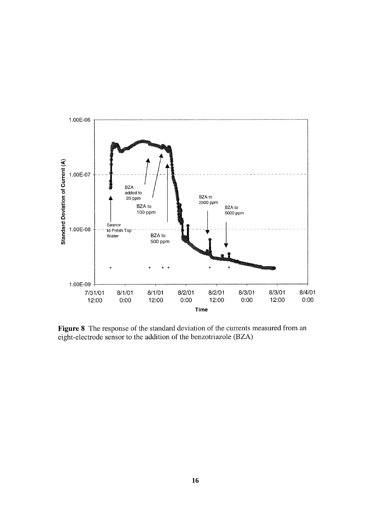

Figure 8 The response of the standard deviation of the currents measured from an eight-electrode sensor to the addition of the benzotriazole (BZA)